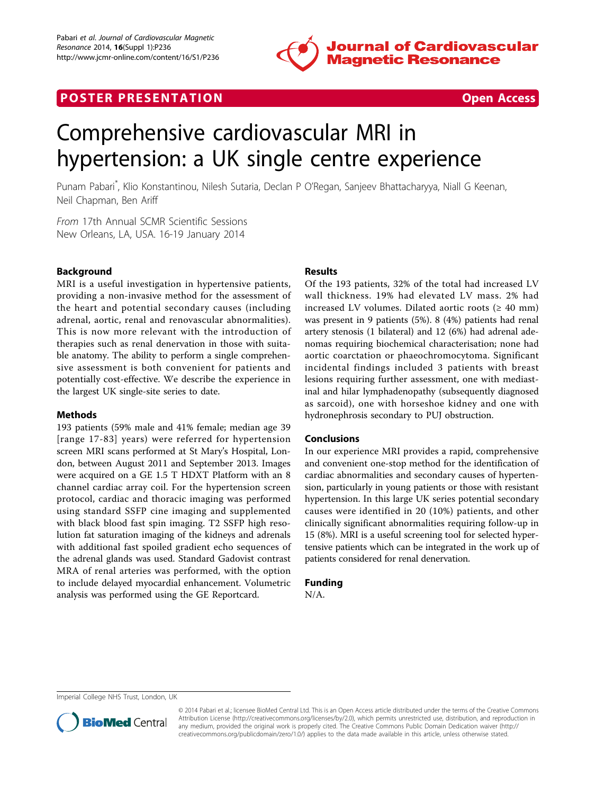

# **POSTER PRESENTATION CONSUMING THE SECOND CONSUMING THE SECOND CONSUMING THE SECOND CONSUMING THE SECOND CONSUMING THE SECOND CONSUMING THE SECOND CONSUMING THE SECOND CONSUMING THE SECOND CONSUMING THE SECOND CONSUMING**



# Comprehensive cardiovascular MRI in hypertension: a UK single centre experience

Punam Pabari\* , Klio Konstantinou, Nilesh Sutaria, Declan P O'Regan, Sanjeev Bhattacharyya, Niall G Keenan, Neil Chapman, Ben Ariff

From 17th Annual SCMR Scientific Sessions New Orleans, LA, USA. 16-19 January 2014

# Background

MRI is a useful investigation in hypertensive patients, providing a non-invasive method for the assessment of the heart and potential secondary causes (including adrenal, aortic, renal and renovascular abnormalities). This is now more relevant with the introduction of therapies such as renal denervation in those with suitable anatomy. The ability to perform a single comprehensive assessment is both convenient for patients and potentially cost-effective. We describe the experience in the largest UK single-site series to date.

## Methods

193 patients (59% male and 41% female; median age 39 [range 17-83] years) were referred for hypertension screen MRI scans performed at St Mary's Hospital, London, between August 2011 and September 2013. Images were acquired on a GE 1.5 T HDXT Platform with an 8 channel cardiac array coil. For the hypertension screen protocol, cardiac and thoracic imaging was performed using standard SSFP cine imaging and supplemented with black blood fast spin imaging. T2 SSFP high resolution fat saturation imaging of the kidneys and adrenals with additional fast spoiled gradient echo sequences of the adrenal glands was used. Standard Gadovist contrast MRA of renal arteries was performed, with the option to include delayed myocardial enhancement. Volumetric analysis was performed using the GE Reportcard.

# Results

Of the 193 patients, 32% of the total had increased LV wall thickness. 19% had elevated LV mass. 2% had increased LV volumes. Dilated aortic roots ( $\geq 40$  mm) was present in 9 patients (5%). 8 (4%) patients had renal artery stenosis (1 bilateral) and 12 (6%) had adrenal adenomas requiring biochemical characterisation; none had aortic coarctation or phaeochromocytoma. Significant incidental findings included 3 patients with breast lesions requiring further assessment, one with mediastinal and hilar lymphadenopathy (subsequently diagnosed as sarcoid), one with horseshoe kidney and one with hydronephrosis secondary to PUJ obstruction.

## Conclusions

In our experience MRI provides a rapid, comprehensive and convenient one-stop method for the identification of cardiac abnormalities and secondary causes of hypertension, particularly in young patients or those with resistant hypertension. In this large UK series potential secondary causes were identified in 20 (10%) patients, and other clinically significant abnormalities requiring follow-up in 15 (8%). MRI is a useful screening tool for selected hypertensive patients which can be integrated in the work up of patients considered for renal denervation.

## Funding

N/A.

Imperial College NHS Trust, London, UK



© 2014 Pabari et al.; licensee BioMed Central Ltd. This is an Open Access article distributed under the terms of the Creative Commons Attribution License [\(http://creativecommons.org/licenses/by/2.0](http://creativecommons.org/licenses/by/2.0)), which permits unrestricted use, distribution, and reproduction in any medium, provided the original work is properly cited. The Creative Commons Public Domain Dedication waiver [\(http://](http://creativecommons.org/publicdomain/zero/1.0/) [creativecommons.org/publicdomain/zero/1.0/](http://creativecommons.org/publicdomain/zero/1.0/)) applies to the data made available in this article, unless otherwise stated.